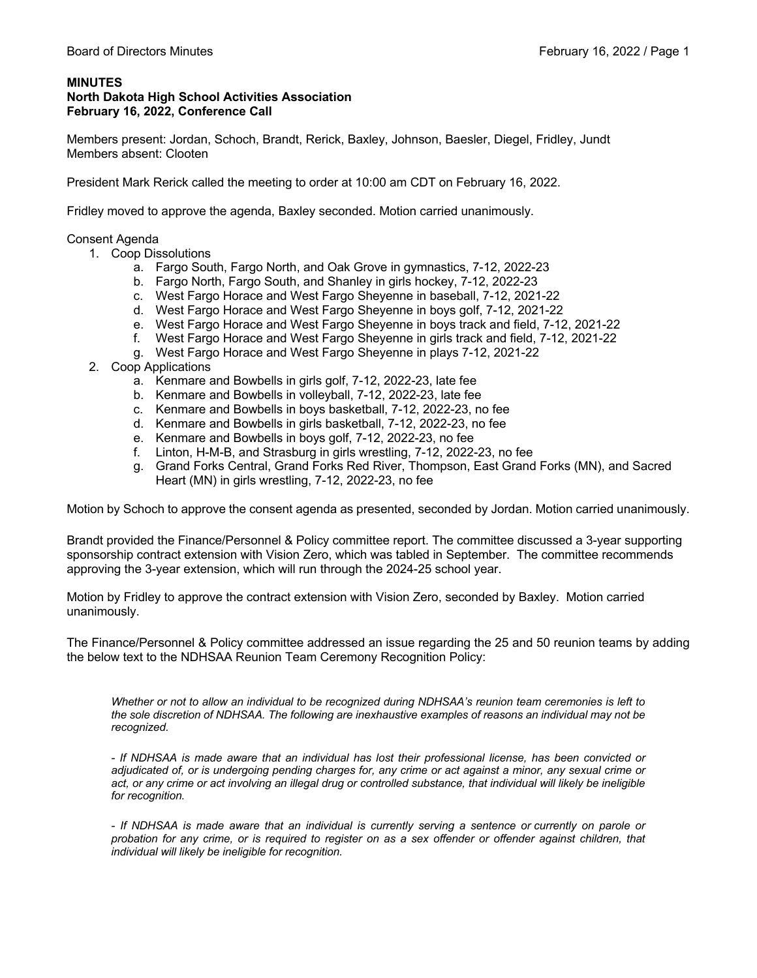## **MINUTES**

## **North Dakota High School Activities Association February 16, 2022, Conference Call**

Members present: Jordan, Schoch, Brandt, Rerick, Baxley, Johnson, Baesler, Diegel, Fridley, Jundt Members absent: Clooten

President Mark Rerick called the meeting to order at 10:00 am CDT on February 16, 2022.

Fridley moved to approve the agenda, Baxley seconded. Motion carried unanimously.

Consent Agenda

- 1. Coop Dissolutions
	- a. Fargo South, Fargo North, and Oak Grove in gymnastics, 7-12, 2022-23
	- b. Fargo North, Fargo South, and Shanley in girls hockey, 7-12, 2022-23
	- c. West Fargo Horace and West Fargo Sheyenne in baseball, 7-12, 2021-22
	- d. West Fargo Horace and West Fargo Sheyenne in boys golf, 7-12, 2021-22
	- e. West Fargo Horace and West Fargo Sheyenne in boys track and field, 7-12, 2021-22
	- f. West Fargo Horace and West Fargo Sheyenne in girls track and field, 7-12, 2021-22
	- g. West Fargo Horace and West Fargo Sheyenne in plays 7-12, 2021-22
- 2. Coop Applications
	- a. Kenmare and Bowbells in girls golf, 7-12, 2022-23, late fee
	- b. Kenmare and Bowbells in volleyball, 7-12, 2022-23, late fee
	- c. Kenmare and Bowbells in boys basketball, 7-12, 2022-23, no fee
	- d. Kenmare and Bowbells in girls basketball, 7-12, 2022-23, no fee
	- e. Kenmare and Bowbells in boys golf, 7-12, 2022-23, no fee
	- f. Linton, H-M-B, and Strasburg in girls wrestling, 7-12, 2022-23, no fee
	- g. Grand Forks Central, Grand Forks Red River, Thompson, East Grand Forks (MN), and Sacred Heart (MN) in girls wrestling, 7-12, 2022-23, no fee

Motion by Schoch to approve the consent agenda as presented, seconded by Jordan. Motion carried unanimously.

Brandt provided the Finance/Personnel & Policy committee report. The committee discussed a 3-year supporting sponsorship contract extension with Vision Zero, which was tabled in September. The committee recommends approving the 3-year extension, which will run through the 2024-25 school year.

Motion by Fridley to approve the contract extension with Vision Zero, seconded by Baxley. Motion carried unanimously.

The Finance/Personnel & Policy committee addressed an issue regarding the 25 and 50 reunion teams by adding the below text to the NDHSAA Reunion Team Ceremony Recognition Policy:

*Whether or not to allow an individual to be recognized during NDHSAA's reunion team ceremonies is left to the sole discretion of NDHSAA. The following are inexhaustive examples of reasons an individual may not be recognized.* 

*- If NDHSAA is made aware that an individual has lost their professional license, has been convicted or adjudicated of, or is undergoing pending charges for, any crime or act against a minor, any sexual crime or*  act, or any crime or act involving an illegal drug or controlled substance, that individual will likely be ineligible *for recognition.* 

*- If NDHSAA is made aware that an individual is currently serving a sentence or currently on parole or probation for any crime, or is required to register on as a sex offender or offender against children, that individual will likely be ineligible for recognition.*